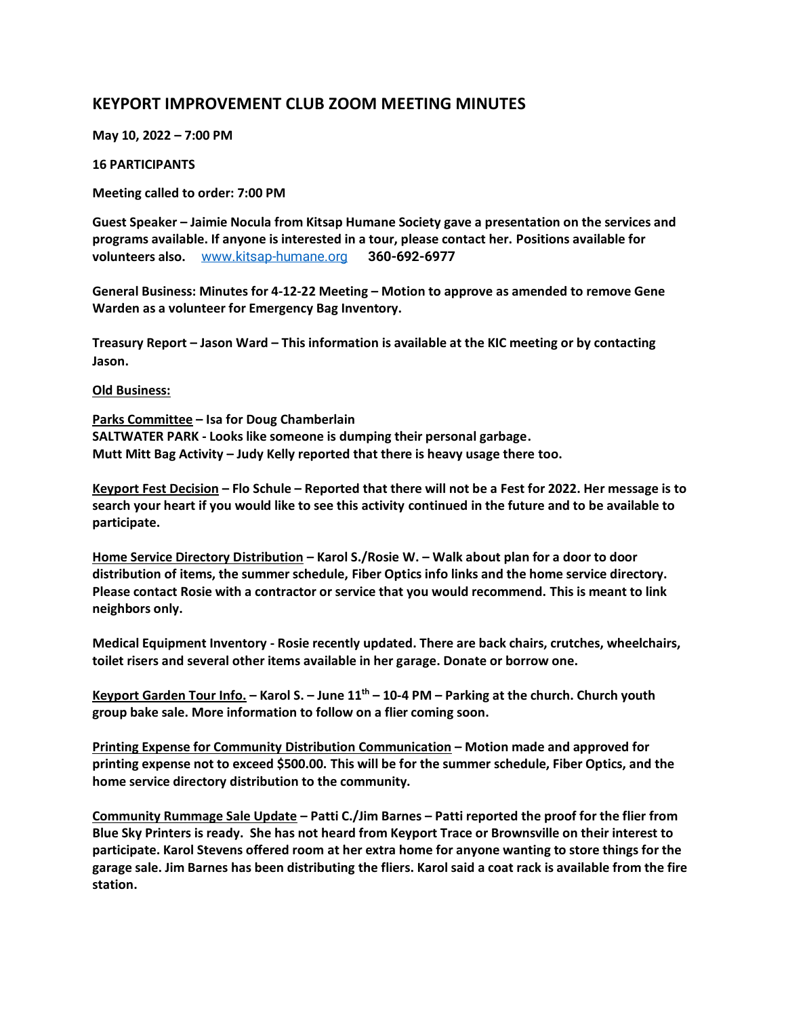# **KEYPORT IMPROVEMENT CLUB ZOOM MEETING MINUTES**

**May 10, 2022 – 7:00 PM**

# **16 PARTICIPANTS**

**Meeting called to order: 7:00 PM**

**Guest Speaker – Jaimie Nocula from Kitsap Humane Society gave a presentation on the services and programs available. If anyone is interested in a tour, please contact her. Positions available for volunteers also.** [www.kitsap-humane.org](http://www.kitsap-humane.org/) **360-692-6977**

**General Business: Minutes for 4-12-22 Meeting – Motion to approve as amended to remove Gene Warden as a volunteer for Emergency Bag Inventory.**

**Treasury Report – Jason Ward – This information is available at the KIC meeting or by contacting Jason.**

### **Old Business:**

**Parks Committee – Isa for Doug Chamberlain SALTWATER PARK - Looks like someone is dumping their personal garbage. Mutt Mitt Bag Activity – Judy Kelly reported that there is heavy usage there too.** 

**Keyport Fest Decision – Flo Schule – Reported that there will not be a Fest for 2022. Her message is to search your heart if you would like to see this activity continued in the future and to be available to participate.**

**Home Service Directory Distribution – Karol S./Rosie W. – Walk about plan for a door to door distribution of items, the summer schedule, Fiber Optics info links and the home service directory. Please contact Rosie with a contractor or service that you would recommend. This is meant to link neighbors only.**

**Medical Equipment Inventory - Rosie recently updated. There are back chairs, crutches, wheelchairs, toilet risers and several other items available in her garage. Donate or borrow one.**

**Keyport Garden Tour Info. – Karol S. – June 11th – 10-4 PM – Parking at the church. Church youth group bake sale. More information to follow on a flier coming soon.**

**Printing Expense for Community Distribution Communication – Motion made and approved for printing expense not to exceed \$500.00. This will be for the summer schedule, Fiber Optics, and the home service directory distribution to the community.**

**Community Rummage Sale Update – Patti C./Jim Barnes – Patti reported the proof for the flier from Blue Sky Printers is ready. She has not heard from Keyport Trace or Brownsville on their interest to participate. Karol Stevens offered room at her extra home for anyone wanting to store things for the garage sale. Jim Barnes has been distributing the fliers. Karol said a coat rack is available from the fire station.**